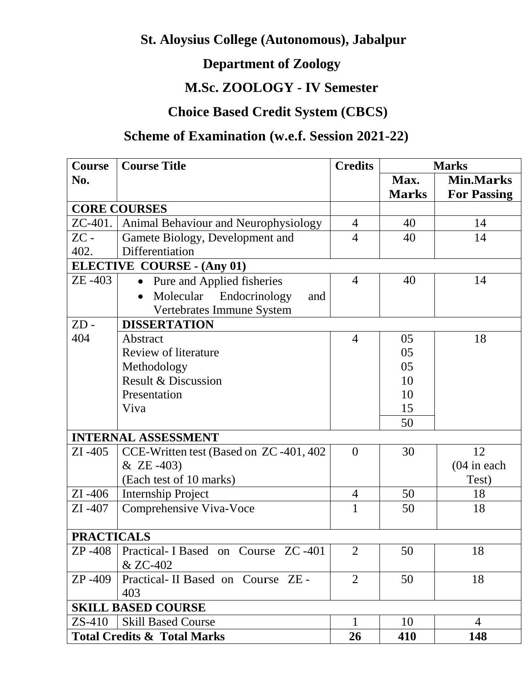# **St. Aloysius College (Autonomous), Jabalpur**

# **Department of Zoology**

# **M.Sc. ZOOLOGY - IV Semester**

# **Choice Based Credit System (CBCS)**

# **Scheme of Examination (w.e.f. Session 2021-22)**

| Course            | <b>Course Title</b>                     | <b>Credits</b> | <b>Marks</b> |                    |
|-------------------|-----------------------------------------|----------------|--------------|--------------------|
| No.               |                                         |                | Max.         | <b>Min.Marks</b>   |
|                   |                                         |                | <b>Marks</b> | <b>For Passing</b> |
|                   | <b>CORE COURSES</b>                     |                |              |                    |
| ZC-401.           | Animal Behaviour and Neurophysiology    | $\overline{4}$ | 40           | 14                 |
| $ZC -$            | Gamete Biology, Development and         | $\overline{4}$ | 40           | 14                 |
| 402.              | Differentiation                         |                |              |                    |
|                   | <b>ELECTIVE COURSE - (Any 01)</b>       |                |              |                    |
| ZE-403            | Pure and Applied fisheries<br>$\bullet$ | $\overline{4}$ | 40           | 14                 |
|                   | Molecular Endocrinology<br>and          |                |              |                    |
|                   | Vertebrates Immune System               |                |              |                    |
| $ZD -$            | <b>DISSERTATION</b>                     |                |              |                    |
| 404               | Abstract                                | $\overline{4}$ | 05           | 18                 |
|                   | <b>Review of literature</b>             |                | 05           |                    |
|                   | Methodology                             |                | 05           |                    |
|                   | Result & Discussion                     |                | 10           |                    |
|                   | Presentation                            |                | 10           |                    |
|                   | Viva                                    |                | 15           |                    |
|                   |                                         |                | 50           |                    |
|                   | <b>INTERNAL ASSESSMENT</b>              |                |              |                    |
| $ZI - 405$        | CCE-Written test (Based on ZC-401, 402) | $\overline{0}$ | 30           | 12                 |
|                   | $&$ ZE -403)                            |                |              | $(04$ in each      |
|                   | (Each test of 10 marks)                 |                |              | Test)              |
| $ZI - 406$        | <b>Internship Project</b>               | $\overline{4}$ | 50           | 18                 |
| $ZI - 407$        | Comprehensive Viva-Voce                 | 1              | 50           | 18                 |
|                   |                                         |                |              |                    |
| <b>PRACTICALS</b> |                                         |                |              |                    |
| ZP -408           | Practical-I Based on Course ZC-401      | $\overline{2}$ | 50           | 18                 |
|                   | & ZC-402                                |                |              |                    |
| $ZP - 409$        | Practical-II Based on Course ZE -       | $\overline{2}$ | 50           | 18                 |
|                   | 403                                     |                |              |                    |
|                   | <b>SKILL BASED COURSE</b>               |                |              |                    |
| $ZS-410$          | <b>Skill Based Course</b>               | 1              | 10           | $\overline{4}$     |
|                   | <b>Total Credits &amp; Total Marks</b>  | 26             | 410          | 148                |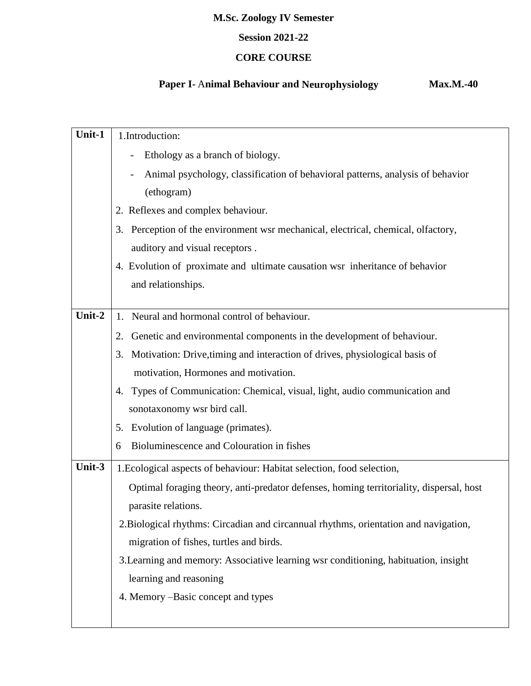## **Session 2021-22**

## **CORE COURSE**

# **Paper I-** A**nimal Behaviour and Neurophysiology Max.M.-40**

| Unit-1 | 1.Introduction:                                                                         |  |  |  |
|--------|-----------------------------------------------------------------------------------------|--|--|--|
|        | Ethology as a branch of biology.                                                        |  |  |  |
|        | Animal psychology, classification of behavioral patterns, analysis of behavior          |  |  |  |
|        | (ethogram)                                                                              |  |  |  |
|        | 2. Reflexes and complex behaviour.                                                      |  |  |  |
|        | 3. Perception of the environment wsr mechanical, electrical, chemical, olfactory,       |  |  |  |
|        | auditory and visual receptors.                                                          |  |  |  |
|        | 4. Evolution of proximate and ultimate causation wsr inheritance of behavior            |  |  |  |
|        | and relationships.                                                                      |  |  |  |
|        |                                                                                         |  |  |  |
| Unit-2 | Neural and hormonal control of behaviour.<br>1.                                         |  |  |  |
|        | Genetic and environmental components in the development of behaviour.<br>2.             |  |  |  |
|        | Motivation: Drive, timing and interaction of drives, physiological basis of<br>3.       |  |  |  |
|        | motivation, Hormones and motivation.                                                    |  |  |  |
|        | Types of Communication: Chemical, visual, light, audio communication and<br>4.          |  |  |  |
|        | sonotaxonomy wsr bird call.                                                             |  |  |  |
|        | 5. Evolution of language (primates).                                                    |  |  |  |
|        | Bioluminescence and Colouration in fishes<br>6                                          |  |  |  |
| Unit-3 | 1. Ecological aspects of behaviour: Habitat selection, food selection,                  |  |  |  |
|        | Optimal foraging theory, anti-predator defenses, homing territoriality, dispersal, host |  |  |  |
|        | parasite relations.                                                                     |  |  |  |
|        | 2. Biological rhythms: Circadian and circannual rhythms, orientation and navigation,    |  |  |  |
|        | migration of fishes, turtles and birds.                                                 |  |  |  |
|        | 3. Learning and memory: Associative learning wsr conditioning, habituation, insight     |  |  |  |
|        | learning and reasoning                                                                  |  |  |  |
|        | 4. Memory –Basic concept and types                                                      |  |  |  |
|        |                                                                                         |  |  |  |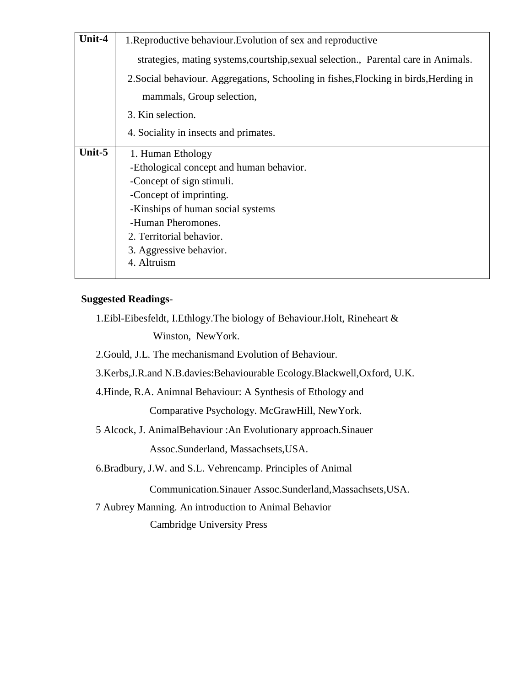| 1. Reproductive behaviour. Evolution of sex and reproductive                          |  |  |
|---------------------------------------------------------------------------------------|--|--|
| strategies, mating systems, courtship, sexual selection., Parental care in Animals.   |  |  |
| 2. Social behaviour. Aggregations, Schooling in fishes, Flocking in birds, Herding in |  |  |
| mammals, Group selection,                                                             |  |  |
|                                                                                       |  |  |
|                                                                                       |  |  |
|                                                                                       |  |  |
|                                                                                       |  |  |
|                                                                                       |  |  |
|                                                                                       |  |  |
|                                                                                       |  |  |
|                                                                                       |  |  |
|                                                                                       |  |  |
|                                                                                       |  |  |
|                                                                                       |  |  |
|                                                                                       |  |  |

#### **Suggested Readings**-

1.Eibl-Eibesfeldt, I.Ethlogy.The biology of Behaviour.Holt, Rineheart &

Winston, NewYork.

2.Gould, J.L. The mechanismand Evolution of Behaviour.

3.Kerbs,J.R.and N.B.davies:Behaviourable Ecology.Blackwell,Oxford, U.K.

4.Hinde, R.A. Animnal Behaviour: A Synthesis of Ethology and

Comparative Psychology. McGrawHill, NewYork.

5 Alcock, J. AnimalBehaviour :An Evolutionary approach.Sinauer

Assoc.Sunderland, Massachsets,USA.

6.Bradbury, J.W. and S.L. Vehrencamp. Principles of Animal

Communication.Sinauer Assoc.Sunderland,Massachsets,USA.

 7 Aubrey Manning. An introduction to Animal Behavior Cambridge University Press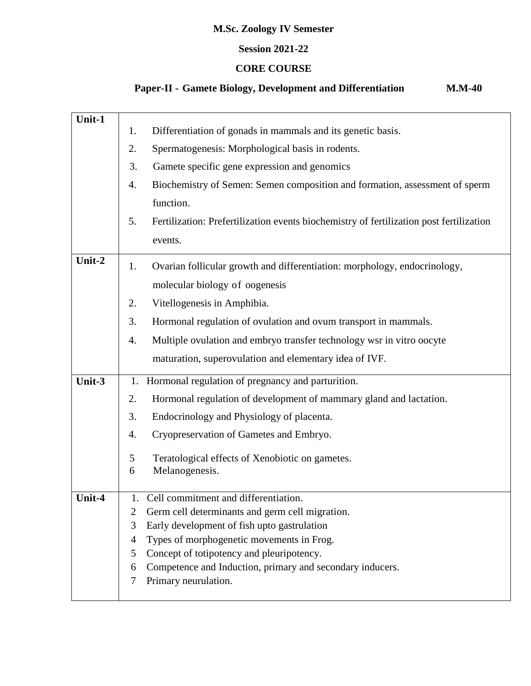#### **Session 2021-22**

### **CORE COURSE**

# **Paper-II - Gamete Biology, Development and Differentiation M.M-40**

| Unit-1 |                                                                                               |  |  |
|--------|-----------------------------------------------------------------------------------------------|--|--|
|        | Differentiation of gonads in mammals and its genetic basis.<br>1.<br>2.                       |  |  |
|        | Spermatogenesis: Morphological basis in rodents.                                              |  |  |
|        | Gamete specific gene expression and genomics                                                  |  |  |
|        | Biochemistry of Semen: Semen composition and formation, assessment of sperm                   |  |  |
|        | function.                                                                                     |  |  |
|        | 5.<br>Fertilization: Prefertilization events biochemistry of fertilization post fertilization |  |  |
|        | events.                                                                                       |  |  |
| Unit-2 | Ovarian follicular growth and differentiation: morphology, endocrinology,<br>1.               |  |  |
|        | molecular biology of oogenesis                                                                |  |  |
|        | 2.<br>Vitellogenesis in Amphibia.                                                             |  |  |
|        | 3.<br>Hormonal regulation of ovulation and ovum transport in mammals.                         |  |  |
|        | Multiple ovulation and embryo transfer technology wsr in vitro oocyte<br>4.                   |  |  |
|        | maturation, superovulation and elementary idea of IVF.                                        |  |  |
| Unit-3 | Hormonal regulation of pregnancy and parturition.<br>1.                                       |  |  |
|        | Hormonal regulation of development of mammary gland and lactation.<br>2.                      |  |  |
|        | Endocrinology and Physiology of placenta.<br>3.                                               |  |  |
|        | Cryopreservation of Gametes and Embryo.<br>4.                                                 |  |  |
|        | 5<br>Teratological effects of Xenobiotic on gametes.                                          |  |  |
|        | Melanogenesis.<br>6                                                                           |  |  |
| Unit-4 | Cell commitment and differentiation.<br>1.                                                    |  |  |
|        | Germ cell determinants and germ cell migration.<br>2                                          |  |  |
|        | Early development of fish upto gastrulation<br>3                                              |  |  |
|        | Types of morphogenetic movements in Frog.<br>4                                                |  |  |
|        | Concept of totipotency and pleuripotency.<br>5                                                |  |  |
|        | Competence and Induction, primary and secondary inducers.<br>6                                |  |  |
|        | Primary neurulation.<br>7                                                                     |  |  |
|        |                                                                                               |  |  |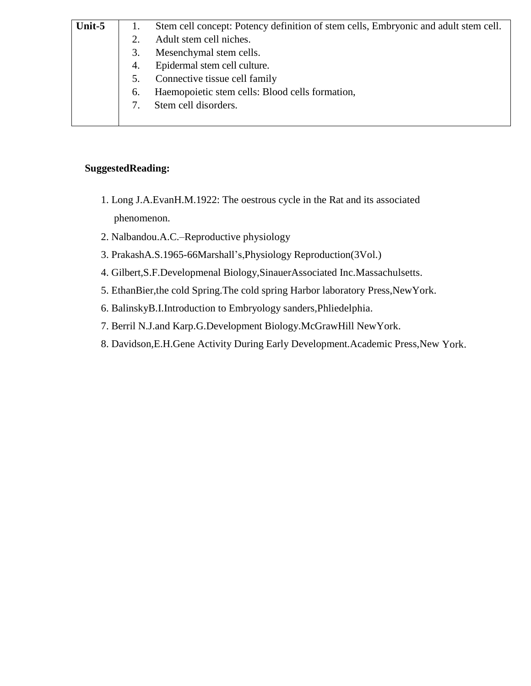| Unit-5 |    | Stem cell concept: Potency definition of stem cells, Embryonic and adult stem cell. |
|--------|----|-------------------------------------------------------------------------------------|
|        |    | Adult stem cell niches.                                                             |
|        | 3. | Mesenchymal stem cells.                                                             |
|        | 4. | Epidermal stem cell culture.                                                        |
|        | 5. | Connective tissue cell family                                                       |
|        | 6. | Haemopoietic stem cells: Blood cells formation,                                     |
|        |    | Stem cell disorders.                                                                |
|        |    |                                                                                     |

### **SuggestedReading:**

- 1. Long J.A.EvanH.M.1922: The oestrous cycle in the Rat and its associated phenomenon.
- 2. Nalbandou.A.C.–Reproductive physiology
- 3. PrakashA.S.1965-66Marshall's,Physiology Reproduction(3Vol.)
- 4. Gilbert,S.F.Developmenal Biology,SinauerAssociated Inc.Massachulsetts.
- 5. EthanBier,the cold Spring.The cold spring Harbor laboratory Press,NewYork.
- 6. BalinskyB.I.Introduction to Embryology sanders,Phliedelphia.
- 7. Berril N.J.and Karp.G.Development Biology.McGrawHill NewYork.
- 8. Davidson,E.H.Gene Activity During Early Development.Academic Press,New York.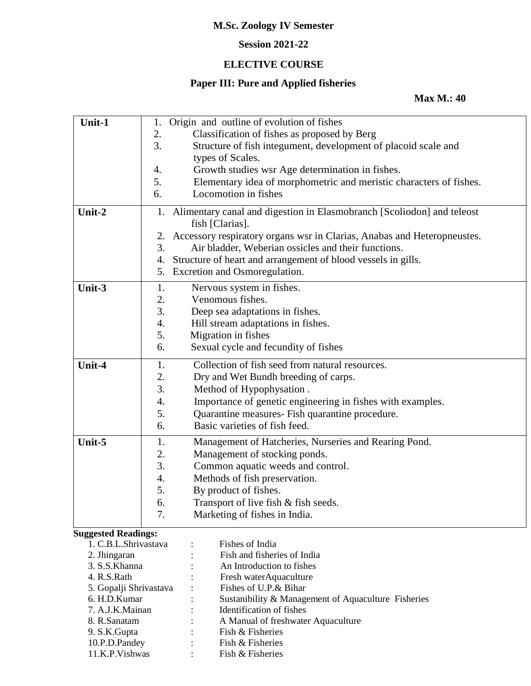## **Session 2021-22**

## **ELECTIVE COURSE**

# **Paper III: Pure and Applied fisheries**

#### **Max M.: 40**

| Unit-1                     | 1. | Origin and outline of evolution of fishes                               |
|----------------------------|----|-------------------------------------------------------------------------|
|                            | 2. | Classification of fishes as proposed by Berg                            |
|                            | 3. | Structure of fish integument, development of placoid scale and          |
|                            |    | types of Scales.                                                        |
|                            | 4. | Growth studies wsr Age determination in fishes.                         |
|                            | 5. | Elementary idea of morphometric and meristic characters of fishes.      |
|                            | 6. | Locomotion in fishes                                                    |
|                            |    |                                                                         |
| Unit-2                     | 1. | Alimentary canal and digestion in Elasmobranch [Scoliodon] and teleost  |
|                            |    | fish [Clarias].                                                         |
|                            | 2. | Accessory respiratory organs wsr in Clarias, Anabas and Heteropneustes. |
|                            | 3. | Air bladder, Weberian ossicles and their functions.                     |
|                            | 4. | Structure of heart and arrangement of blood vessels in gills.           |
|                            | 5. | Excretion and Osmoregulation.                                           |
| Unit-3                     | 1. | Nervous system in fishes.                                               |
|                            | 2. | Venomous fishes.                                                        |
|                            | 3. | Deep sea adaptations in fishes.                                         |
|                            | 4. | Hill stream adaptations in fishes.                                      |
|                            | 5. | Migration in fishes                                                     |
|                            |    |                                                                         |
|                            | 6. | Sexual cycle and fecundity of fishes                                    |
| Unit-4                     | 1. | Collection of fish seed from natural resources.                         |
|                            | 2. | Dry and Wet Bundh breeding of carps.                                    |
|                            | 3. | Method of Hypophysation.                                                |
|                            | 4. | Importance of genetic engineering in fishes with examples.              |
|                            | 5. | Quarantine measures- Fish quarantine procedure.                         |
|                            | 6. | Basic varieties of fish feed.                                           |
| Unit-5                     | 1. | Management of Hatcheries, Nurseries and Rearing Pond.                   |
|                            | 2. | Management of stocking ponds.                                           |
|                            | 3. | Common aquatic weeds and control.                                       |
|                            | 4. | Methods of fish preservation.                                           |
|                            | 5. | By product of fishes.                                                   |
|                            |    |                                                                         |
|                            | 6. | Transport of live fish & fish seeds.                                    |
|                            | 7. | Marketing of fishes in India.                                           |
| <b>Suggested Readings:</b> |    |                                                                         |
| 1. C.B.L.Shrivastava       |    | Fishes of India                                                         |
| 2. Jhingaran               |    | Fish and fisheries of India                                             |
| 3. S.S.Khanna              |    | An Introduction to fishes                                               |
| 4. R.S.Rath                |    | Fresh waterAquaculture                                                  |
| 5. Gopalji Shrivastava     |    | Fishes of U.P.& Bihar                                                   |
| 6. H.D.Kumar               |    | Sustanibility & Management of Aquaculture Fisheries                     |
| 7. A.J.K.Mainan            |    | Identification of fishes                                                |
| 8. R.Sanatam               |    | A Manual of freshwater Aquaculture                                      |
| 9. S.K. Gupta              |    | Fish & Fisheries                                                        |
| 10.P.D.Pandey              |    | Fish & Fisheries                                                        |
| 11.K.P.Vishwas             |    | Fish & Fisheries                                                        |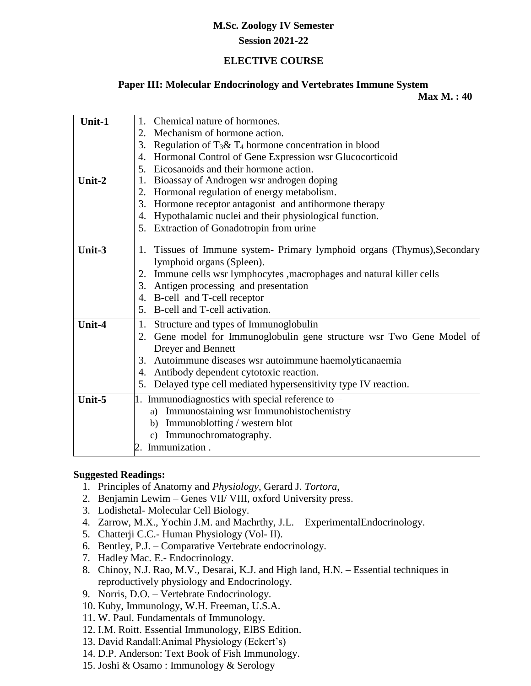#### **Session 2021-22**

#### **ELECTIVE COURSE**

#### **Paper III: Molecular Endocrinology and Vertebrates Immune System**

 **Max M. : 40**

| Unit-1 | Chemical nature of hormones.<br>1.                                        |  |
|--------|---------------------------------------------------------------------------|--|
|        | 2. Mechanism of hormone action.                                           |  |
|        | Regulation of $T_3 \& T_4$ hormone concentration in blood<br>3.           |  |
|        | Hormonal Control of Gene Expression wsr Glucocorticoid<br>4.              |  |
|        | Eicosanoids and their hormone action.<br>5.                               |  |
| Unit-2 | Bioassay of Androgen wsr androgen doping<br>1.                            |  |
|        | Hormonal regulation of energy metabolism.<br>2.                           |  |
|        | Hormone receptor antagonist and antihormone therapy<br>3.                 |  |
|        | Hypothalamic nuclei and their physiological function.<br>4.               |  |
|        | Extraction of Gonadotropin from urine<br>5.                               |  |
|        |                                                                           |  |
| Unit-3 | 1. Tissues of Immune system- Primary lymphoid organs (Thymus), Secondary  |  |
|        | lymphoid organs (Spleen).                                                 |  |
|        | Immune cells wsr lymphocytes , macrophages and natural killer cells<br>2. |  |
|        | 3. Antigen processing and presentation                                    |  |
|        | 4. B-cell and T-cell receptor                                             |  |
|        | B-cell and T-cell activation.<br>5.                                       |  |
| Unit-4 | Structure and types of Immunoglobulin<br>1.                               |  |
|        | 2. Gene model for Immunoglobulin gene structure wsr Two Gene Model of     |  |
|        | Dreyer and Bennett                                                        |  |
|        | Autoimmune diseases wsr autoimmune haemolyticanaemia<br>3.                |  |
|        | Antibody dependent cytotoxic reaction.<br>4.                              |  |
|        | Delayed type cell mediated hypersensitivity type IV reaction.<br>5.       |  |
| Unit-5 | 1. Immunodiagnostics with special reference to $-$                        |  |
|        | a) Immunostaining wsr Immunohistochemistry                                |  |
|        | Immunoblotting / western blot<br>b)                                       |  |
|        | Immunochromatography.<br>c)                                               |  |
|        | 2. Immunization.                                                          |  |
|        |                                                                           |  |

#### **Suggested Readings:**

- 1. Principles of Anatomy and *Physiology*, Gerard J. *Tortora*,
- 2. Benjamin Lewim Genes VII/ VIII, oxford University press.
- 3. Lodishetal- Molecular Cell Biology.
- 4. Zarrow, M.X., Yochin J.M. and Machrthy, J.L. ExperimentalEndocrinology.
- 5. Chatterji C.C.- Human Physiology (Vol- II).
- 6. Bentley, P.J. Comparative Vertebrate endocrinology.
- 7. Hadley Mac. E.- Endocrinology.
- 8. Chinoy, N.J. Rao, M.V., Desarai, K.J. and High land, H.N. Essential techniques in reproductively physiology and Endocrinology.
- 9. Norris, D.O. Vertebrate Endocrinology.
- 10. Kuby, Immunology, W.H. Freeman, U.S.A.
- 11. W. Paul. Fundamentals of Immunology.
- 12. I.M. Roitt. Essential Immunology, ElBS Edition.
- 13. David Randall:Animal Physiology (Eckert's)
- 14. D.P. [Anderson:](https://www.abebooks.com/servlet/SearchResults?an=D.P.%20Anderson&cm_sp=det-_-bdp-_-author) Text Book of Fish Immunology.
- 15. Joshi & Osamo : Immunology & Serology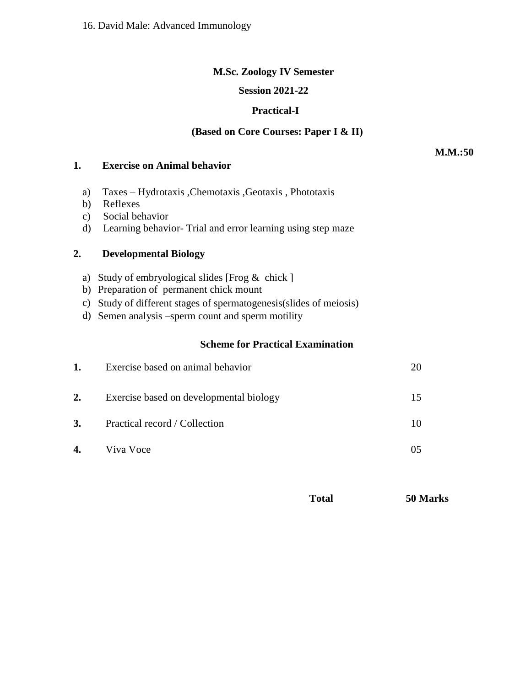#### **Session 2021-22**

### **Practical-I**

### **(Based on Core Courses: Paper I & II)**

#### **1. Exercise on Animal behavior**

- a) Taxes Hydrotaxis ,Chemotaxis ,Geotaxis , Phototaxis
- b) Reflexes
- c) Social behavior
- d) Learning behavior- Trial and error learning using step maze

### **2. Developmental Biology**

- a) Study of embryological slides [Frog & chick ]
- b) Preparation of permanent chick mount
- c) Study of different stages of spermatogenesis(slides of meiosis)
- d) Semen analysis –sperm count and sperm motility

#### **Scheme for Practical Examination**

| 1. | Exercise based on animal behavior       |    |
|----|-----------------------------------------|----|
| 2. | Exercise based on developmental biology | 15 |
| 3. | Practical record / Collection           | 10 |
| 4. | Viva Voce                               |    |
|    |                                         |    |

| Total | 50 Marks |
|-------|----------|
|-------|----------|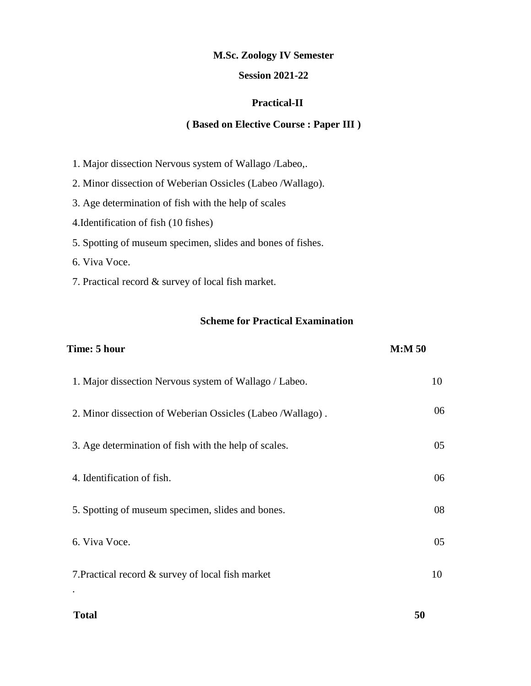#### **Session 2021-22**

#### **Practical-II**

#### **( Based on Elective Course : Paper III )**

- 1. Major dissection Nervous system of Wallago /Labeo,.
- 2. Minor dissection of Weberian Ossicles (Labeo /Wallago).
- 3. Age determination of fish with the help of scales
- 4.Identification of fish (10 fishes)
- 5. Spotting of museum specimen, slides and bones of fishes.
- 6. Viva Voce.
- 7. Practical record & survey of local fish market.

#### **Scheme for Practical Examination**

| Time: 5 hour                                               | M: M 50 |
|------------------------------------------------------------|---------|
| 1. Major dissection Nervous system of Wallago / Labeo.     | 10      |
| 2. Minor dissection of Weberian Ossicles (Labeo /Wallago). | 06      |
| 3. Age determination of fish with the help of scales.      | 05      |
| 4. Identification of fish.                                 | 06      |
| 5. Spotting of museum specimen, slides and bones.          | 08      |
| 6. Viva Voce.                                              | 05      |
| 7. Practical record & survey of local fish market          | 10      |
|                                                            |         |

#### **Total 50**